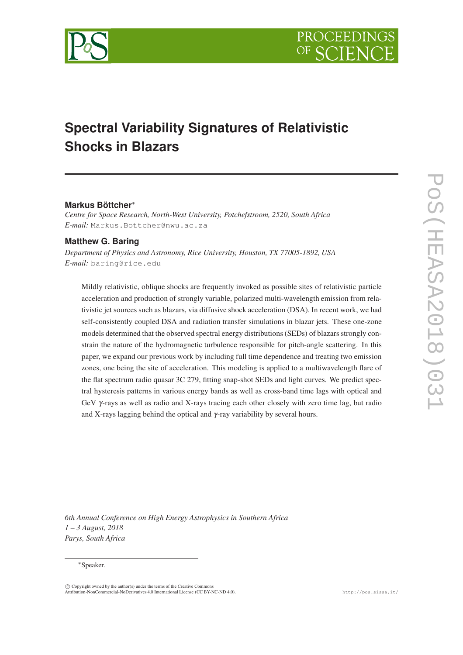

# **Spectral Variability Signatures of Relativistic Shocks in Blazars**

## **Markus Böttcher**<sup>∗</sup>

*Centre for Space Research, North-West University, Potchefstroom, 2520, South Africa E-mail:* Markus.Bottcher@nwu.ac.za

## **Matthew G. Baring**

*Department of Physics and Astronomy, Rice University, Houston, TX 77005-1892, USA E-mail:* baring@rice.edu

Mildly relativistic, oblique shocks are frequently invoked as possible sites of relativistic particle acceleration and production of strongly variable, polarized multi-wavelength emission from relativistic jet sources such as blazars, via diffusive shock acceleration (DSA). In recent work, we had self-consistently coupled DSA and radiation transfer simulations in blazar jets. These one-zone models determined that the observed spectral energy distributions (SEDs) of blazars strongly constrain the nature of the hydromagnetic turbulence responsible for pitch-angle scattering. In this paper, we expand our previous work by including full time dependence and treating two emission zones, one being the site of acceleration. This modeling is applied to a multiwavelength flare of the flat spectrum radio quasar 3C 279, fitting snap-shot SEDs and light curves. We predict spectral hysteresis patterns in various energy bands as well as cross-band time lags with optical and GeV γ-rays as well as radio and X-rays tracing each other closely with zero time lag, but radio and X-rays lagging behind the optical and  $\gamma$ -ray variability by several hours.

*6th Annual Conference on High Energy Astrophysics in Southern Africa 1 – 3 August, 2018 Parys, South Africa*

#### <sup>∗</sup>Speaker.

c Copyright owned by the author(s) under the terms of the Creative Commons Attribution-NonCommercial-NoDerivatives 4.0 International License (CC BY-NC-ND 4.0). http://pos.sissa.it/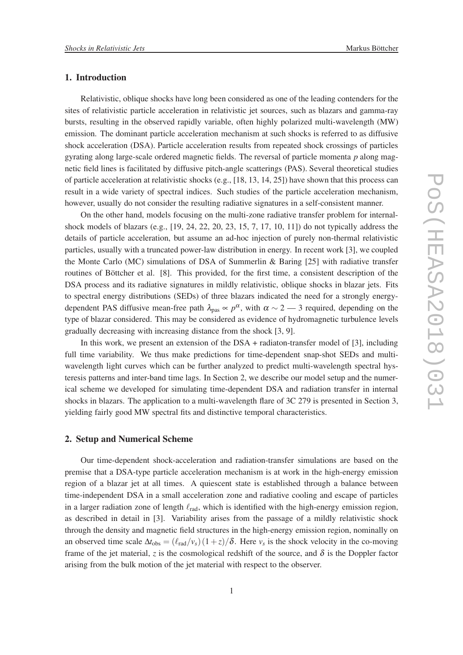#### 1. Introduction

Relativistic, oblique shocks have long been considered as one of the leading contenders for the sites of relativistic particle acceleration in relativistic jet sources, such as blazars and gamma-ray bursts, resulting in the observed rapidly variable, often highly polarized multi-wavelength (MW) emission. The dominant particle acceleration mechanism at such shocks is referred to as diffusive shock acceleration (DSA). Particle acceleration results from repeated shock crossings of particles gyrating along large-scale ordered magnetic fields. The reversal of particle momenta *p* along magnetic field lines is facilitated by diffusive pitch-angle scatterings (PAS). Several theoretical studies of particle acceleration at relativistic shocks (e.g.,  $[18, 13, 14, 25]$ ) have shown that this process can result in a wide variety of spectral indices. Such studies of the particle acceleration mechanism, however, usually do not consider the resulting radiative signatures in a self-consistent manner.

On the other hand, models focusing on the multi-zone radiative transfer problem for internalshock models of blazars (e.g., [19, 24, 22, 20, 23, 15, 7, 17, 10, 11]) do not typically address the details of particle acceleration, but assume an ad-hoc injection of purely non-thermal relativistic particles, usually with a truncated power-law distribution in energy. In recent work [3], we coupled the Monte Carlo (MC) simulations of DSA of Summerlin & Baring [25] with radiative transfer routines of Böttcher et al. [8]. This provided, for the first time, a consistent description of the DSA process and its radiative signatures in mildly relativistic, oblique shocks in blazar jets. Fits to spectral energy distributions (SEDs) of three blazars indicated the need for a strongly energydependent PAS diffusive mean-free path  $\lambda_{\text{pas}} \propto p^{\alpha}$ , with  $\alpha \sim 2 - 3$  required, depending on the type of blazar considered. This may be considered as evidence of hydromagnetic turbulence levels gradually decreasing with increasing distance from the shock [3, 9].

In this work, we present an extension of the DSA + radiaton-transfer model of [3], including full time variability. We thus make predictions for time-dependent snap-shot SEDs and multiwavelength light curves which can be further analyzed to predict multi-wavelength spectral hysteresis patterns and inter-band time lags. In Section 2, we describe our model setup and the numerical scheme we developed for simulating time-dependent DSA and radiation transfer in internal shocks in blazars. The application to a multi-wavelength flare of 3C 279 is presented in Section 3, yielding fairly good MW spectral fits and distinctive temporal characteristics.

#### 2. Setup and Numerical Scheme

Our time-dependent shock-acceleration and radiation-transfer simulations are based on the premise that a DSA-type particle acceleration mechanism is at work in the high-energy emission region of a blazar jet at all times. A quiescent state is established through a balance between time-independent DSA in a small acceleration zone and radiative cooling and escape of particles in a larger radiation zone of length  $\ell_{rad}$ , which is identified with the high-energy emission region, as described in detail in [3]. Variability arises from the passage of a mildly relativistic shock through the density and magnetic field structures in the high-energy emission region, nominally on an observed time scale  $\Delta t_{obs} = (\ell_{rad}/v_s)(1+z)/\delta$ . Here  $v_s$  is the shock velocity in the co-moving frame of the jet material, *z* is the cosmological redshift of the source, and  $\delta$  is the Doppler factor arising from the bulk motion of the jet material with respect to the observer.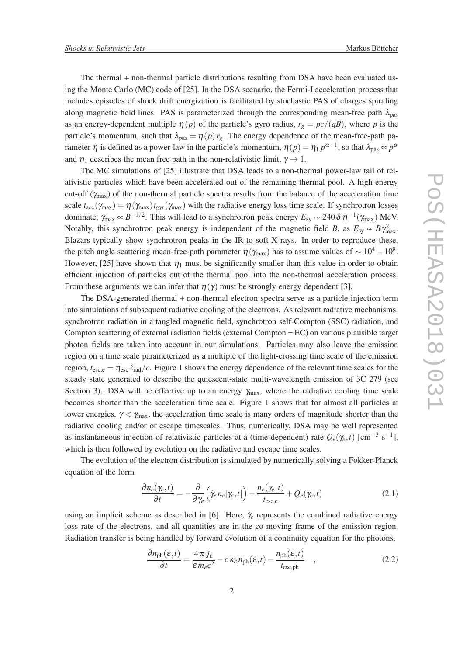The thermal + non-thermal particle distributions resulting from DSA have been evaluated using the Monte Carlo (MC) code of [25]. In the DSA scenario, the Fermi-I acceleration process that includes episodes of shock drift energization is facilitated by stochastic PAS of charges spiraling along magnetic field lines. PAS is parameterized through the corresponding mean-free path  $\lambda_{\text{pas}}$ as an energy-dependent multiple  $\eta(p)$  of the particle's gyro radius,  $r_g = pc/(qB)$ , where p is the particle's momentum, such that  $\lambda_{\text{pas}} = \eta(p) r_g$ . The energy dependence of the mean-free-path parameter  $\eta$  is defined as a power-law in the particle's momentum,  $\eta(p) = \eta_1 p^{\alpha-1}$ , so that  $\lambda_{\text{pas}} \propto p^{\alpha}$ 

and  $\eta_1$  describes the mean free path in the non-relativistic limit,  $\gamma \rightarrow 1$ . The MC simulations of [25] illustrate that DSA leads to a non-thermal power-law tail of relativistic particles which have been accelerated out of the remaining thermal pool. A high-energy cut-off ( $\gamma_{\text{max}}$ ) of the non-thermal particle spectra results from the balance of the acceleration time scale  $t_{\text{acc}}(\gamma_{\text{max}}) = \eta(\gamma_{\text{max}}) t_{\text{gyr}}(\gamma_{\text{max}})$  with the radiative energy loss time scale. If synchrotron losses dominate,  $\gamma_{\text{max}} \propto B^{-1/2}$ . This will lead to a synchrotron peak energy  $E_{sy} \sim 240 \delta \eta^{-1} (\gamma_{\text{max}})$  MeV. Notably, this synchrotron peak energy is independent of the magnetic field *B*, as  $E_{sy} \propto B \gamma_{\text{max}}^2$ . Blazars typically show synchrotron peaks in the IR to soft X-rays. In order to reproduce these, the pitch angle scattering mean-free-path parameter  $\eta(\gamma_{\text{max}})$  has to assume values of  $\sim 10^4 - 10^8$ . However, [25] have shown that  $\eta_1$  must be significantly smaller than this value in order to obtain efficient injection of particles out of the thermal pool into the non-thermal acceleration process. From these arguments we can infer that  $\eta(\gamma)$  must be strongly energy dependent [3].

The DSA-generated thermal + non-thermal electron spectra serve as a particle injection term into simulations of subsequent radiative cooling of the electrons. As relevant radiative mechanisms, synchrotron radiation in a tangled magnetic field, synchrotron self-Compton (SSC) radiation, and Compton scattering of external radiation fields (external Compton = EC) on various plausible target photon fields are taken into account in our simulations. Particles may also leave the emission region on a time scale parameterized as a multiple of the light-crossing time scale of the emission region,  $t_{\text{esc}} = \eta_{\text{esc}} \ell_{\text{rad}}/c$ . Figure 1 shows the energy dependence of the relevant time scales for the steady state generated to describe the quiescent-state multi-wavelength emission of 3C 279 (see Section 3). DSA will be effective up to an energy  $\gamma_{\text{max}}$ , where the radiative cooling time scale becomes shorter than the acceleration time scale. Figure 1 shows that for almost all particles at lower energies,  $\gamma < \gamma_{\text{max}}$ , the acceleration time scale is many orders of magnitude shorter than the radiative cooling and/or or escape timescales. Thus, numerically, DSA may be well represented as instantaneous injection of relativistic particles at a (time-dependent) rate  $Q_e(\gamma_e, t)$  [cm<sup>-3</sup> s<sup>-1</sup>], which is then followed by evolution on the radiative and escape time scales.

The evolution of the electron distribution is simulated by numerically solving a Fokker-Planck equation of the form

$$
\frac{\partial n_e(\gamma_e, t)}{\partial t} = -\frac{\partial}{\partial \gamma_e} \Big( \dot{\gamma}_e n_e[\gamma_e, t] \Big) - \frac{n_e(\gamma_e, t)}{t_{\text{esc},e}} + Q_e(\gamma_e, t) \tag{2.1}
$$

using an implicit scheme as described in [6]. Here,  $\gamma_e$  represents the combined radiative energy loss rate of the electrons, and all quantities are in the co-moving frame of the emission region. Radiation transfer is being handled by forward evolution of a continuity equation for the photons,

$$
\frac{\partial n_{\rm ph}(\varepsilon, t)}{\partial t} = \frac{4\pi j_{\varepsilon}}{\varepsilon m_{\varepsilon}c^2} - c\,\kappa_{\varepsilon}\,n_{\rm ph}(\varepsilon, t) - \frac{n_{\rm ph}(\varepsilon, t)}{t_{\rm esc, ph}}\quad ,\tag{2.2}
$$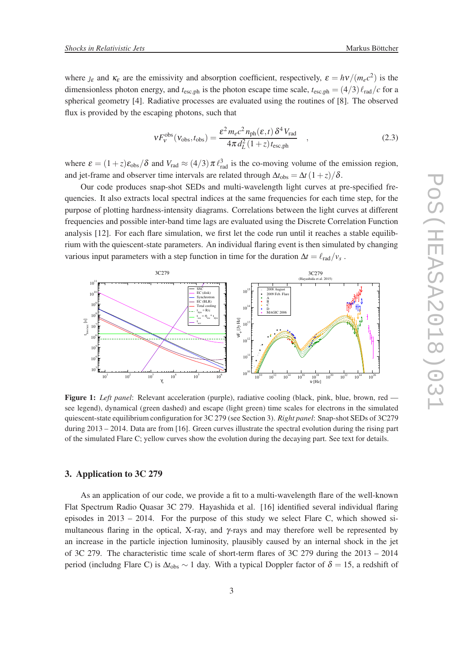where  $\iota_{\varepsilon}$  and  $\kappa_{\varepsilon}$  are the emissivity and absorption coefficient, respectively,  $\varepsilon = h\nu/(m_e c^2)$  is the dimensionless photon energy, and  $t_{\text{esc},ph}$  is the photon escape time scale,  $t_{\text{esc},ph} = (4/3) \ell_{\text{rad}}/c$  for a spherical geometry [4]. Radiative processes are evaluated using the routines of [8]. The observed flux is provided by the escaping photons, such that

$$
VF_{V}^{\text{obs}}(V_{\text{obs}}, t_{\text{obs}}) = \frac{\varepsilon^{2} m_{e} c^{2} n_{\text{ph}}(\varepsilon, t) \, \delta^{4} V_{\text{rad}}}{4 \pi \, d_{L}^{2} \left( 1 + z \right) t_{\text{esc,ph}}}
$$
\n
$$
(2.3)
$$

where  $\varepsilon = (1+z)\varepsilon_{obs}/\delta$  and  $V_{rad} \approx (4/3)\pi \ell_{rad}^3$  is the co-moving volume of the emission region, and jet-frame and observer time intervals are related through  $\Delta t_{\rm obs} = \Delta t (1+z)/\delta$ .

Our code produces snap-shot SEDs and multi-wavelength light curves at pre-specified frequencies. It also extracts local spectral indices at the same frequencies for each time step, for the purpose of plotting hardness-intensity diagrams. Correlations between the light curves at different frequencies and possible inter-band time lags are evaluated using the Discrete Correlation Function analysis [12]. For each flare simulation, we first let the code run until it reaches a stable equilibrium with the quiescent-state parameters. An individual flaring event is then simulated by changing various input parameters with a step function in time for the duration  $\Delta t = \ell_{\text{rad}}/v_s$ .



Figure 1: *Left panel*: Relevant acceleration (purple), radiative cooling (black, pink, blue, brown, red see legend), dynamical (green dashed) and escape (light green) time scales for electrons in the simulated quiescent-state equilibrium configuration for 3C 279 (see Section 3). *Right panel*: Snap-shot SEDs of 3C279 during 2013 – 2014. Data are from [16]. Green curves illustrate the spectral evolution during the rising part of the simulated Flare C; yellow curves show the evolution during the decaying part. See text for details.

## 3. Application to 3C 279

As an application of our code, we provide a fit to a multi-wavelength flare of the well-known Flat Spectrum Radio Quasar 3C 279. Hayashida et al. [16] identified several individual flaring episodes in  $2013 - 2014$ . For the purpose of this study we select Flare C, which showed simultaneous flaring in the optical, X-ray, and γ-rays and may therefore well be represented by an increase in the particle injection luminosity, plausibly caused by an internal shock in the jet of 3C 279. The characteristic time scale of short-term flares of 3C 279 during the 2013 – 2014 period (includng Flare C) is  $\Delta t_{obs} \sim 1$  day. With a typical Doppler factor of  $\delta = 15$ , a redshift of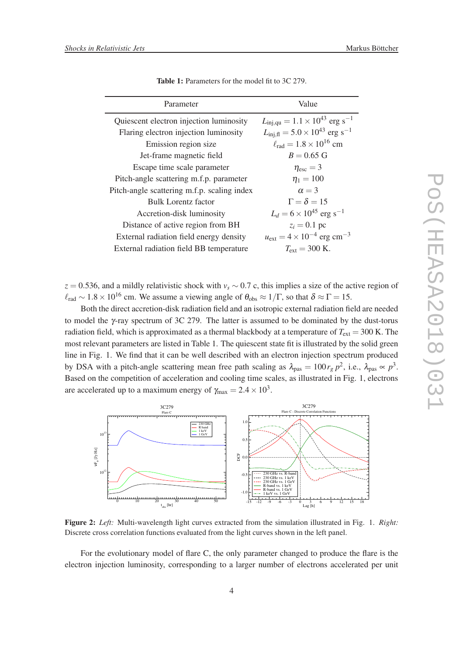| Parameter                                   | Value                                                              |
|---------------------------------------------|--------------------------------------------------------------------|
| Quiescent electron injection luminosity     | $L_{\text{inj},\text{qu}} = 1.1 \times 10^{43} \text{ erg s}^{-1}$ |
| Flaring electron injection luminosity       | $L_{\text{inj,fl}} = 5.0 \times 10^{43} \text{ erg s}^{-1}$        |
| Emission region size                        | $\ell_{\rm rad} = 1.8 \times 10^{16}$ cm                           |
| Jet-frame magnetic field                    | $B = 0.65$ G                                                       |
| Escape time scale parameter                 | $\eta_{\rm esc}=3$                                                 |
| Pitch-angle scattering m.f.p. parameter     | $\eta_1 = 100$                                                     |
| Pitch-angle scattering m.f.p. scaling index | $\alpha = 3$                                                       |
| Bulk Lorentz factor                         | $\Gamma = \delta = 15$                                             |
| Accretion-disk luminosity                   | $L_d = 6 \times 10^{45}$ erg s <sup>-1</sup>                       |
| Distance of active region from BH           | $z_i = 0.1$ pc                                                     |
| External radiation field energy density     | $u_{\text{ext}} = 4 \times 10^{-4} \text{ erg cm}^{-3}$            |
| External radiation field BB temperature     | $T_{\rm ext} = 300$ K.                                             |

Table 1: Parameters for the model fit to 3C 279.

*z* = 0.536, and a mildly relativistic shock with *v<sup>s</sup>* ∼ 0.7 c, this implies a size of the active region of  $\ell_{\rm rad} \sim 1.8 \times 10^{16}$  cm. We assume a viewing angle of  $\theta_{\rm obs} \approx 1/\Gamma$ , so that  $\delta \approx \Gamma = 15$ .

Both the direct accretion-disk radiation field and an isotropic external radiation field are needed to model the γ-ray spectrum of 3C 279. The latter is assumed to be dominated by the dust-torus radiation field, which is approximated as a thermal blackbody at a temperature of  $T_{ext} = 300$  K. The most relevant parameters are listed in Table 1. The quiescent state fit is illustrated by the solid green line in Fig. 1. We find that it can be well described with an electron injection spectrum produced by DSA with a pitch-angle scattering mean free path scaling as  $\lambda_{\text{pas}} = 100 r_g p^2$ , i.e.,  $\lambda_{\text{pas}} \propto p^3$ . Based on the competition of acceleration and cooling time scales, as illustrated in Fig. 1, electrons are accelerated up to a maximum energy of  $\gamma_{\text{max}} = 2.4 \times 10^3$ .



Figure 2: *Left:* Multi-wavelength light curves extracted from the simulation illustrated in Fig. 1. *Right:* Discrete cross correlation functions evaluated from the light curves shown in the left panel.

For the evolutionary model of flare C, the only parameter changed to produce the flare is the electron injection luminosity, corresponding to a larger number of electrons accelerated per unit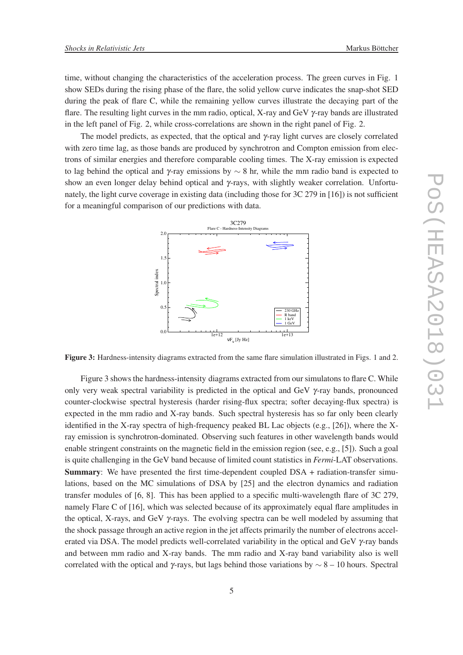time, without changing the characteristics of the acceleration process. The green curves in Fig. 1 show SEDs during the rising phase of the flare, the solid yellow curve indicates the snap-shot SED during the peak of flare C, while the remaining yellow curves illustrate the decaying part of the flare. The resulting light curves in the mm radio, optical, X-ray and GeV γ-ray bands are illustrated in the left panel of Fig. 2, while cross-correlations are shown in the right panel of Fig. 2.

The model predicts, as expected, that the optical and  $\gamma$ -ray light curves are closely correlated with zero time lag, as those bands are produced by synchrotron and Compton emission from electrons of similar energies and therefore comparable cooling times. The X-ray emission is expected to lag behind the optical and  $\gamma$ -ray emissions by  $\sim$  8 hr, while the mm radio band is expected to show an even longer delay behind optical and γ-rays, with slightly weaker correlation. Unfortunately, the light curve coverage in existing data (including those for 3C 279 in [16]) is not sufficient for a meaningful comparison of our predictions with data.



Figure 3: Hardness-intensity diagrams extracted from the same flare simulation illustrated in Figs. 1 and 2.

Figure 3 shows the hardness-intensity diagrams extracted from our simulatons to flare C. While only very weak spectral variability is predicted in the optical and GeV  $\gamma$ -ray bands, pronounced counter-clockwise spectral hysteresis (harder rising-flux spectra; softer decaying-flux spectra) is expected in the mm radio and X-ray bands. Such spectral hysteresis has so far only been clearly identified in the X-ray spectra of high-frequency peaked BL Lac objects (e.g., [26]), where the Xray emission is synchrotron-dominated. Observing such features in other wavelength bands would enable stringent constraints on the magnetic field in the emission region (see, e.g., [5]). Such a goal is quite challenging in the GeV band because of limited count statistics in *Fermi*-LAT observations. Summary: We have presented the first time-dependent coupled DSA + radiation-transfer simulations, based on the MC simulations of DSA by [25] and the electron dynamics and radiation transfer modules of [6, 8]. This has been applied to a specific multi-wavelength flare of 3C 279, namely Flare C of [16], which was selected because of its approximately equal flare amplitudes in the optical, X-rays, and GeV  $\gamma$ -rays. The evolving spectra can be well modeled by assuming that the shock passage through an active region in the jet affects primarily the number of electrons accelerated via DSA. The model predicts well-correlated variability in the optical and GeV  $\gamma$ -ray bands and between mm radio and X-ray bands. The mm radio and X-ray band variability also is well correlated with the optical and γ-rays, but lags behind those variations by  $\sim$  8 – 10 hours. Spectral